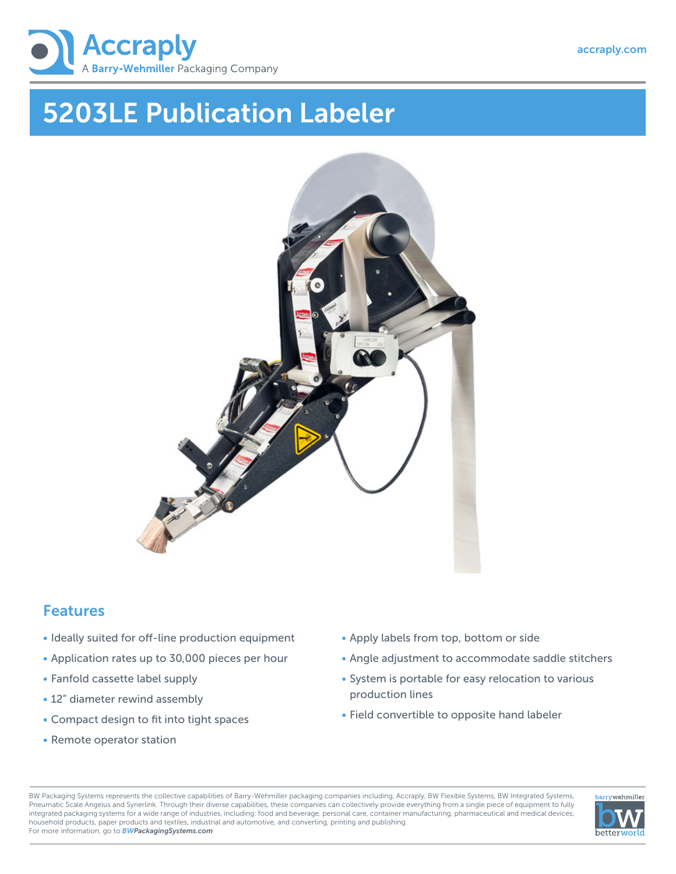

# 5203LE Publication Labeler



### **Features**

- Ideally suited for off-line production equipment
- Application rates up to 30,000 pieces per hour
- Fanfold cassette label supply
- 12" diameter rewind assembly
- Compact design to fit into tight spaces
- Remote operator station
- Apply labels from top, bottom or side
- Angle adjustment to accommodate saddle stitchers
- System is portable for easy relocation to various production lines
- Field convertible to opposite hand labeler

BW Packaging Systems represents the collective capabilities of Barry-Wehmiller packaging companies including, Accraply, BW Flexible Systems, BW Integrated Systems, Pneumatic Scale Angelus and Synerlink. Through their diverse capabilities, these companies can collectively provide everything from a single piece of equipment to fully integrated packaging systems for a wide range of industries, including: food and beverage, personal care, container manufacturing, pharmaceutical and medical devices, household products, paper products and textiles, industrial and automotive, and converting, printing and publishing. For more information, go to *BWPackagingSystems.com*